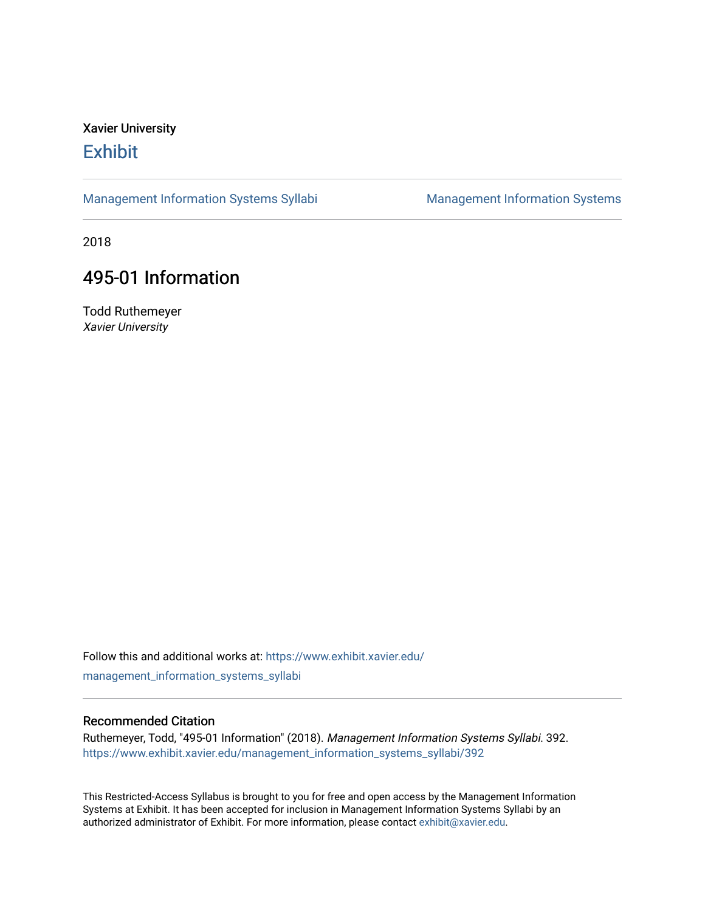## Xavier University **Exhibit**

[Management Information Systems Syllabi](https://www.exhibit.xavier.edu/management_information_systems_syllabi) Management Information Systems

2018

# 495-01 Information

Todd Ruthemeyer Xavier University

Follow this and additional works at: [https://www.exhibit.xavier.edu/](https://www.exhibit.xavier.edu/management_information_systems_syllabi?utm_source=www.exhibit.xavier.edu%2Fmanagement_information_systems_syllabi%2F392&utm_medium=PDF&utm_campaign=PDFCoverPages) [management\\_information\\_systems\\_syllabi](https://www.exhibit.xavier.edu/management_information_systems_syllabi?utm_source=www.exhibit.xavier.edu%2Fmanagement_information_systems_syllabi%2F392&utm_medium=PDF&utm_campaign=PDFCoverPages) 

#### Recommended Citation

Ruthemeyer, Todd, "495-01 Information" (2018). Management Information Systems Syllabi. 392. [https://www.exhibit.xavier.edu/management\\_information\\_systems\\_syllabi/392](https://www.exhibit.xavier.edu/management_information_systems_syllabi/392?utm_source=www.exhibit.xavier.edu%2Fmanagement_information_systems_syllabi%2F392&utm_medium=PDF&utm_campaign=PDFCoverPages) 

This Restricted-Access Syllabus is brought to you for free and open access by the Management Information Systems at Exhibit. It has been accepted for inclusion in Management Information Systems Syllabi by an authorized administrator of Exhibit. For more information, please contact [exhibit@xavier.edu](mailto:exhibit@xavier.edu).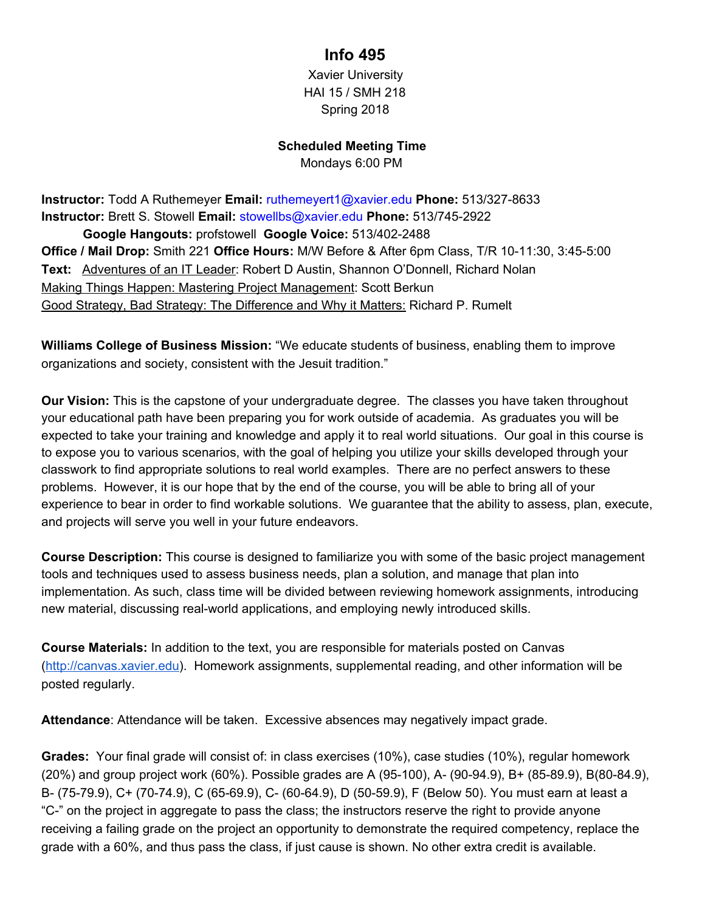### **Info 495**

Xavier University HAI 15 / SMH 218 Spring 2018

#### **Scheduled Meeting Time**

Mondays 6:00 PM

**Instructor:** Todd A Ruthemeyer **Email:** ruthemeyert1@xavier.edu **Phone:** 513/327-8633 **Instructor:** Brett S. Stowell **Email:** stowellbs@xavier.edu **Phone:** 513/745-2922 **Google Hangouts:** profstowell **Google Voice:** 513/402-2488 **Office / Mail Drop:** Smith 221 **Office Hours:** M/W Before & After 6pm Class, T/R 10-11:30, 3:45-5:00 **Text:** Adventures of an IT Leader: Robert D Austin, Shannon O'Donnell, Richard Nolan Making Things Happen: Mastering Project Management: Scott Berkun Good Strategy, Bad Strategy: The Difference and Why it Matters: Richard P. Rumelt

**Williams College of Business Mission:** "We educate students of business, enabling them to improve organizations and society, consistent with the Jesuit tradition."

**Our Vision:** This is the capstone of your undergraduate degree. The classes you have taken throughout your educational path have been preparing you for work outside of academia. As graduates you will be expected to take your training and knowledge and apply it to real world situations. Our goal in this course is to expose you to various scenarios, with the goal of helping you utilize your skills developed through your classwork to find appropriate solutions to real world examples. There are no perfect answers to these problems. However, it is our hope that by the end of the course, you will be able to bring all of your experience to bear in order to find workable solutions. We guarantee that the ability to assess, plan, execute, and projects will serve you well in your future endeavors.

**Course Description:** This course is designed to familiarize you with some of the basic project management tools and techniques used to assess business needs, plan a solution, and manage that plan into implementation. As such, class time will be divided between reviewing homework assignments, introducing new material, discussing real-world applications, and employing newly introduced skills.

**Course Materials:** In addition to the text, you are responsible for materials posted on Canvas ([http://canvas.xavier.edu\)](http://canvas.xavier.edu/). Homework assignments, supplemental reading, and other information will be posted regularly.

**Attendance**: Attendance will be taken. Excessive absences may negatively impact grade.

**Grades:** Your final grade will consist of: in class exercises (10%), case studies (10%), regular homework (20%) and group project work (60%). Possible grades are A (95-100), A- (90-94.9), B+ (85-89.9), B(80-84.9), B- (75-79.9), C+ (70-74.9), C (65-69.9), C- (60-64.9), D (50-59.9), F (Below 50). You must earn at least a "C-" on the project in aggregate to pass the class; the instructors reserve the right to provide anyone receiving a failing grade on the project an opportunity to demonstrate the required competency, replace the grade with a 60%, and thus pass the class, if just cause is shown. No other extra credit is available.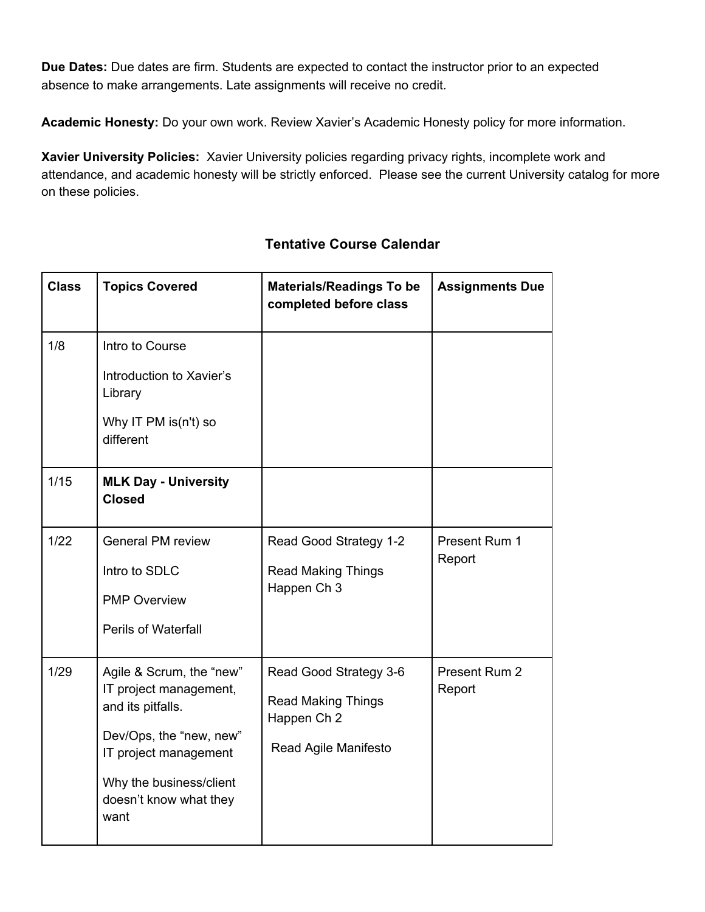**Due Dates:** Due dates are firm. Students are expected to contact the instructor prior to an expected absence to make arrangements. Late assignments will receive no credit.

**Academic Honesty:** Do your own work. Review Xavier's Academic Honesty policy for more information.

**Xavier University Policies:** Xavier University policies regarding privacy rights, incomplete work and attendance, and academic honesty will be strictly enforced. Please see the current University catalog for more on these policies.

| <b>Class</b> | <b>Topics Covered</b>                                                                                                                                                                    | <b>Materials/Readings To be</b><br>completed before class                                  | <b>Assignments Due</b>  |
|--------------|------------------------------------------------------------------------------------------------------------------------------------------------------------------------------------------|--------------------------------------------------------------------------------------------|-------------------------|
| 1/8          | Intro to Course<br>Introduction to Xavier's<br>Library<br>Why IT PM is(n't) so<br>different                                                                                              |                                                                                            |                         |
| $1/15$       | <b>MLK Day - University</b><br><b>Closed</b>                                                                                                                                             |                                                                                            |                         |
| 1/22         | <b>General PM review</b><br>Intro to SDLC<br><b>PMP Overview</b><br><b>Perils of Waterfall</b>                                                                                           | Read Good Strategy 1-2<br><b>Read Making Things</b><br>Happen Ch 3                         | Present Rum 1<br>Report |
| 1/29         | Agile & Scrum, the "new"<br>IT project management,<br>and its pitfalls.<br>Dev/Ops, the "new, new"<br>IT project management<br>Why the business/client<br>doesn't know what they<br>want | Read Good Strategy 3-6<br><b>Read Making Things</b><br>Happen Ch 2<br>Read Agile Manifesto | Present Rum 2<br>Report |

### **Tentative Course Calendar**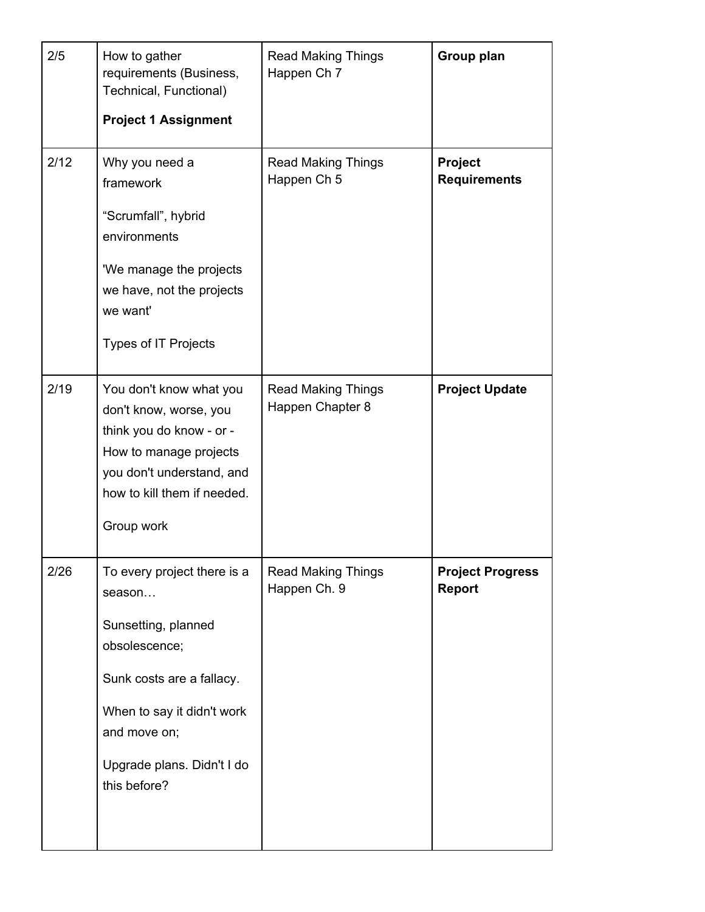| 2/5  | How to gather<br>requirements (Business,<br>Technical, Functional)<br><b>Project 1 Assignment</b>                                                                                                      | <b>Read Making Things</b><br>Happen Ch 7      | Group plan                               |
|------|--------------------------------------------------------------------------------------------------------------------------------------------------------------------------------------------------------|-----------------------------------------------|------------------------------------------|
| 2/12 | Why you need a<br>framework<br>"Scrumfall", hybrid<br>environments<br>'We manage the projects<br>we have, not the projects<br>we want'<br><b>Types of IT Projects</b>                                  | <b>Read Making Things</b><br>Happen Ch 5      | Project<br><b>Requirements</b>           |
| 2/19 | You don't know what you<br>don't know, worse, you<br>think you do know - or -<br>How to manage projects<br>you don't understand, and<br>how to kill them if needed.<br>Group work                      | <b>Read Making Things</b><br>Happen Chapter 8 | <b>Project Update</b>                    |
| 2/26 | To every project there is a<br>season<br>Sunsetting, planned<br>obsolescence;<br>Sunk costs are a fallacy.<br>When to say it didn't work<br>and move on;<br>Upgrade plans. Didn't I do<br>this before? | <b>Read Making Things</b><br>Happen Ch. 9     | <b>Project Progress</b><br><b>Report</b> |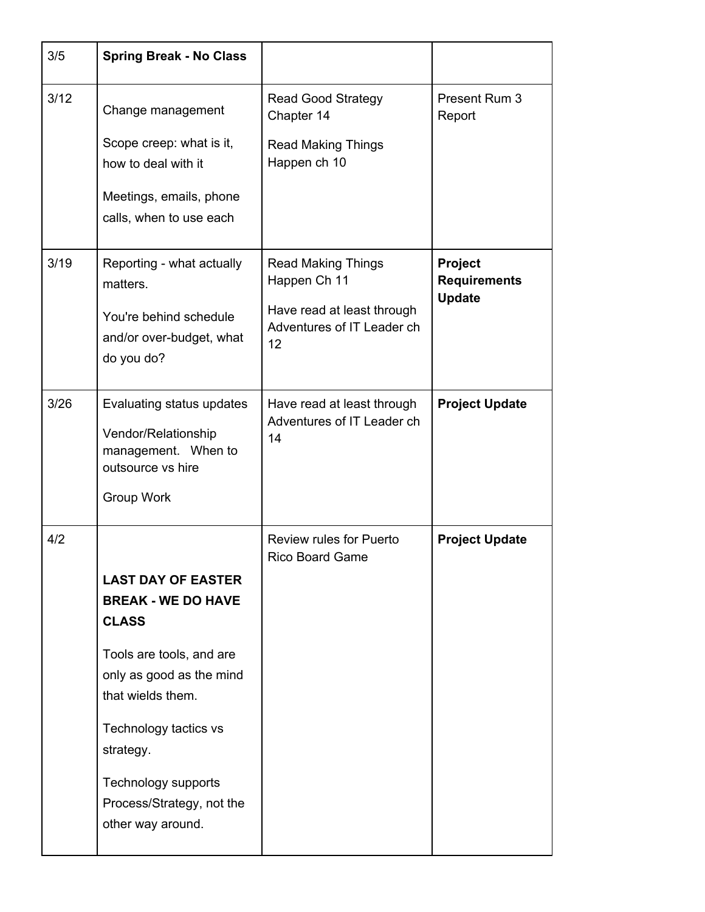| 3/5  | <b>Spring Break - No Class</b>                                                                                                                                                                                                                                     |                                                                                                             |                                                        |
|------|--------------------------------------------------------------------------------------------------------------------------------------------------------------------------------------------------------------------------------------------------------------------|-------------------------------------------------------------------------------------------------------------|--------------------------------------------------------|
| 3/12 | Change management<br>Scope creep: what is it,<br>how to deal with it                                                                                                                                                                                               | <b>Read Good Strategy</b><br>Chapter 14<br><b>Read Making Things</b><br>Happen ch 10                        | Present Rum 3<br>Report                                |
|      | Meetings, emails, phone<br>calls, when to use each                                                                                                                                                                                                                 |                                                                                                             |                                                        |
| 3/19 | Reporting - what actually<br>matters.<br>You're behind schedule<br>and/or over-budget, what<br>do you do?                                                                                                                                                          | <b>Read Making Things</b><br>Happen Ch 11<br>Have read at least through<br>Adventures of IT Leader ch<br>12 | <b>Project</b><br><b>Requirements</b><br><b>Update</b> |
| 3/26 | Evaluating status updates<br>Vendor/Relationship<br>management. When to<br>outsource vs hire<br>Group Work                                                                                                                                                         | Have read at least through<br>Adventures of IT Leader ch<br>14                                              | <b>Project Update</b>                                  |
| 4/2  | <b>LAST DAY OF EASTER</b><br><b>BREAK - WE DO HAVE</b><br><b>CLASS</b><br>Tools are tools, and are<br>only as good as the mind<br>that wields them.<br>Technology tactics vs<br>strategy.<br>Technology supports<br>Process/Strategy, not the<br>other way around. | <b>Review rules for Puerto</b><br>Rico Board Game                                                           | <b>Project Update</b>                                  |